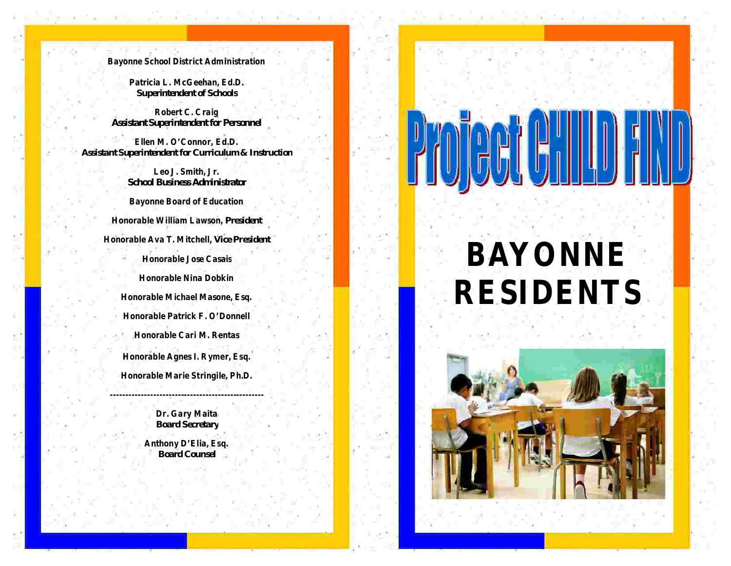**Bayonne School District Administration**

and the state of the first state of

**Patricia L. McGeehan, Ed.D.** *Superintendent of Schools*

**Robert C. Craig** *Assistant Superintendent for Personnel*

**Ellen M. O'Connor, Ed.D.** *Assistant Superintendent for Curriculum & Instruction*

> **Leo J. Smith, Jr.** *School Business Administrator*

**Bayonne Board of Education**

**Honorable William Lawson,** *President*

**Honorable Ava T. Mitchell,** *Vice President*

**Honorable Jose Casais**

**Honorable Nina Dobkin Honorable Michael Masone, Esq. Honorable Patrick F. O'Donnell Honorable Cari M. Rentas Honorable Agnes I. Rymer, Esq.**

**Honorable Marie Stringile, Ph.D.**

**Dr. Gary Maita** *Board Secretary*

**--------------------------------------------------**

**Anthony D'Elia, Esq.** *Board Counsel*

<u> De Santa Carlos de Santa Carlos I</u>

# **BAYONNE RESIDENTS**